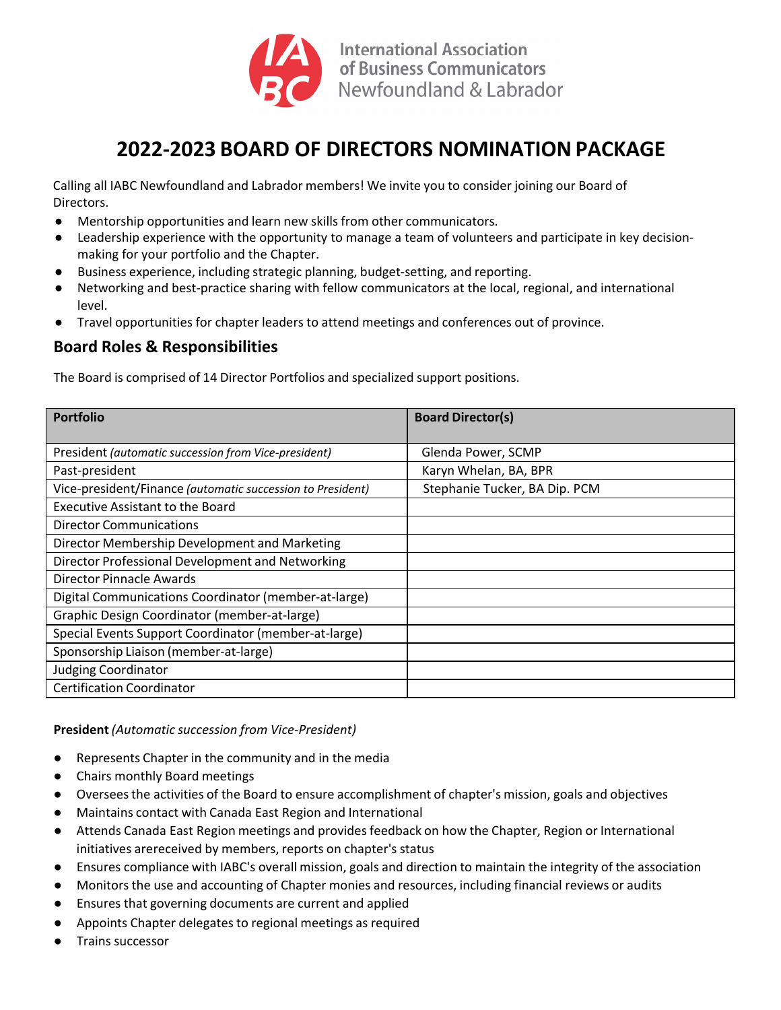

# **2022‐2023 BOARD OF DIRECTORS NOMINATIONPACKAGE**

Calling all IABC Newfoundland and Labrador members! We invite you to consider joining our Board of Directors.

- Mentorship opportunities and learn new skills from other communicators.
- Leadership experience with the opportunity to manage a team of volunteers and participate in key decisionmaking for your portfolio and the Chapter.
- Business experience, including strategic planning, budget-setting, and reporting.
- Networking and best-practice sharing with fellow communicators at the local, regional, and international level.
- Travel opportunities for chapter leaders to attend meetings and conferences out of province.

## **Board Roles & Responsibilities**

The Board is comprised of 14 Director Portfolios and specialized support positions.

| <b>Portfolio</b>                                           | <b>Board Director(s)</b>      |
|------------------------------------------------------------|-------------------------------|
|                                                            |                               |
| President (automatic succession from Vice-president)       | Glenda Power, SCMP            |
| Past-president                                             | Karyn Whelan, BA, BPR         |
| Vice-president/Finance (automatic succession to President) | Stephanie Tucker, BA Dip. PCM |
| <b>Executive Assistant to the Board</b>                    |                               |
| <b>Director Communications</b>                             |                               |
| Director Membership Development and Marketing              |                               |
| Director Professional Development and Networking           |                               |
| Director Pinnacle Awards                                   |                               |
| Digital Communications Coordinator (member-at-large)       |                               |
| Graphic Design Coordinator (member-at-large)               |                               |
| Special Events Support Coordinator (member-at-large)       |                               |
| Sponsorship Liaison (member-at-large)                      |                               |
| <b>Judging Coordinator</b>                                 |                               |
| <b>Certification Coordinator</b>                           |                               |

**President** *(Automatic succession from Vice‐President)*

- **●** Represents Chapter in the community and in the media
- **●** Chairs monthly Board meetings
- Overseesthe activities of the Board to ensure accomplishment of chapter's mission, goals and objectives
- Maintains contact with Canada East Region and International
- Attends Canada East Region meetings and provides feedback on how the Chapter, Region or International initiatives arereceived by members, reports on chapter's status
- Ensures compliance with IABC's overall mission, goals and direction to maintain the integrity of the association
- Monitors the use and accounting of Chapter monies and resources, including financial reviews or audits
- Ensures that governing documents are current and applied
- Appoints Chapter delegatesto regional meetings as required
- Trains successor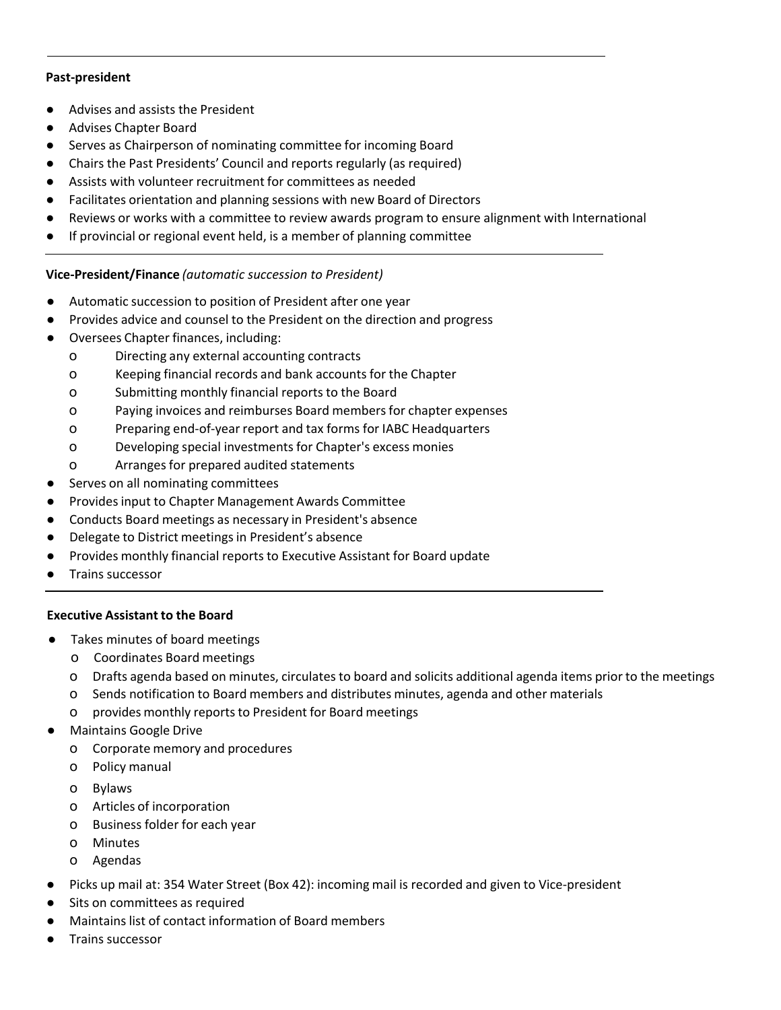#### **Past‐president**

- Advises and assists the President
- Advises Chapter Board
- Serves as Chairperson of nominating committee for incoming Board
- Chairs the Past Presidents' Council and reports regularly (as required)
- Assists with volunteer recruitment for committees as needed
- Facilitates orientation and planning sessions with new Board of Directors
- Reviews or works with a committee to review awards program to ensure alignment with International
- If provincial or regional event held, is a member of planning committee

## **Vice‐President/Finance** *(automatic succession to President)*

- Automatic succession to position of President after one year
- Provides advice and counsel to the President on the direction and progress
- Oversees Chapter finances, including:
	- o Directing any external accounting contracts
	- o Keeping financial records and bank accounts for the Chapter
	- o Submitting monthly financial reports to the Board
	- o Paying invoices and reimburses Board membersfor chapter expenses
	- o Preparing end‐of‐year report and tax forms for IABC Headquarters
	- o Developing special investmentsfor Chapter's excess monies
	- o Arrangesfor prepared audited statements
- Serves on all nominating committees
- Provides input to Chapter Management Awards Committee
- Conducts Board meetings as necessary in President's absence
- Delegate to District meetings in President's absence
- Provides monthly financial reports to Executive Assistant for Board update
- Trains successor

## **Executive Assistant to the Board**

- Takes minutes of board meetings
	- o Coordinates Board meetings
	- o Drafts agenda based on minutes, circulatesto board and solicits additional agenda items prior to the meetings
	- o Sends notification to Board members and distributes minutes, agenda and other materials
	- o provides monthly reportsto President for Board meetings
- **Maintains Google Drive** 
	- o Corporate memory and procedures
	- o Policy manual
	- o Bylaws
	- o Articles of incorporation
	- o Business folder for each year
	- o Minutes
	- o Agendas
- Picks up mail at: 354 Water Street (Box 42): incoming mail is recorded and given to Vice-president
- Sits on committees as required
- Maintains list of contact information of Board members
- Trains successor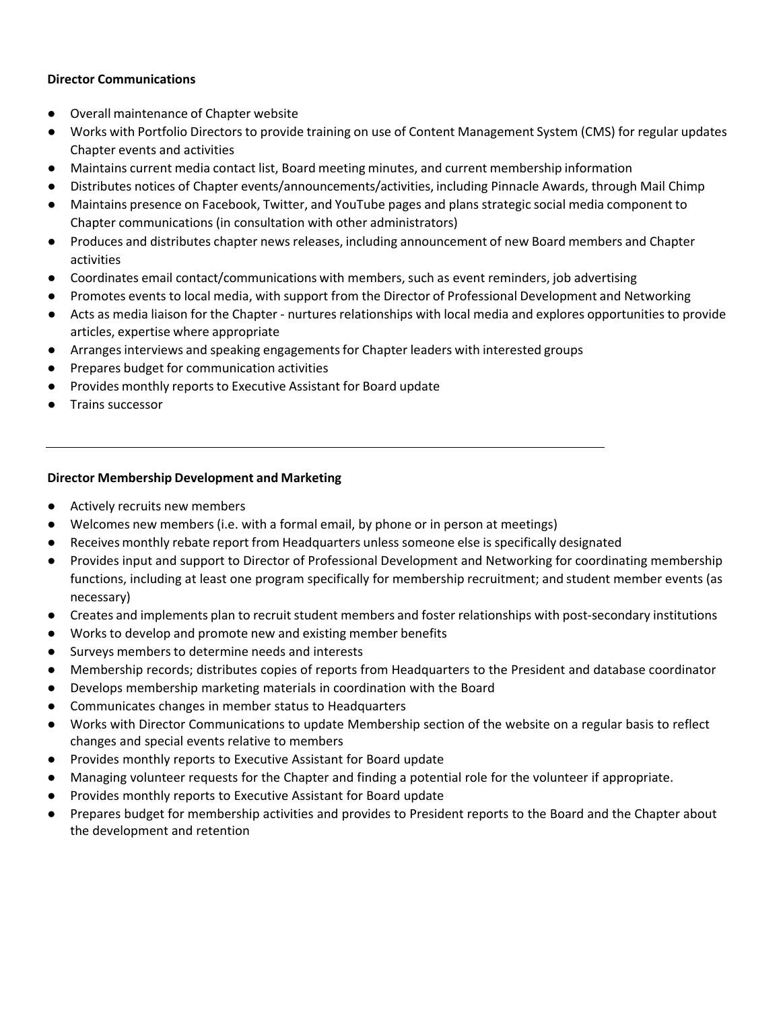#### **Director Communications**

- Overall maintenance of Chapter website
- Works with Portfolio Directors to provide training on use of Content Management System (CMS) for regular updates Chapter events and activities
- Maintains current media contact list, Board meeting minutes, and current membership information
- Distributes notices of Chapter events/announcements/activities, including Pinnacle Awards, through Mail Chimp
- Maintains presence on Facebook, Twitter, and YouTube pages and plans strategic social media component to Chapter communications (in consultation with other administrators)
- Produces and distributes chapter newsreleases, including announcement of new Board members and Chapter activities
- Coordinates email contact/communications with members, such as event reminders, job advertising
- Promotes events to local media, with support from the Director of Professional Development and Networking
- Acts as media liaison for the Chapter nurtures relationships with local media and explores opportunities to provide articles, expertise where appropriate
- Arrangesinterviews and speaking engagementsfor Chapter leaders with interested groups
- Prepares budget for communication activities
- Provides monthly reports to Executive Assistant for Board update
- Trains successor

#### **Director Membership Development and Marketing**

- Actively recruits new members
- Welcomes new members (i.e. with a formal email, by phone or in person at meetings)
- Receives monthly rebate report from Headquarters unless someone else is specifically designated
- Provides input and support to Director of Professional Development and Networking for coordinating membership functions, including at least one program specifically for membership recruitment; and student member events (as necessary)
- Creates and implements plan to recruit student members and foster relationships with post-secondary institutions
- Works to develop and promote new and existing member benefits
- Surveys membersto determine needs and interests
- Membership records; distributes copies of reports from Headquarters to the President and database coordinator
- Develops membership marketing materials in coordination with the Board
- Communicates changes in member status to Headquarters
- Works with Director Communications to update Membership section of the website on a regular basis to reflect changes and special events relative to members
- Provides monthly reports to Executive Assistant for Board update
- Managing volunteer requests for the Chapter and finding a potential role for the volunteer if appropriate.
- Provides monthly reports to Executive Assistant for Board update
- Prepares budget for membership activities and provides to President reports to the Board and the Chapter about the development and retention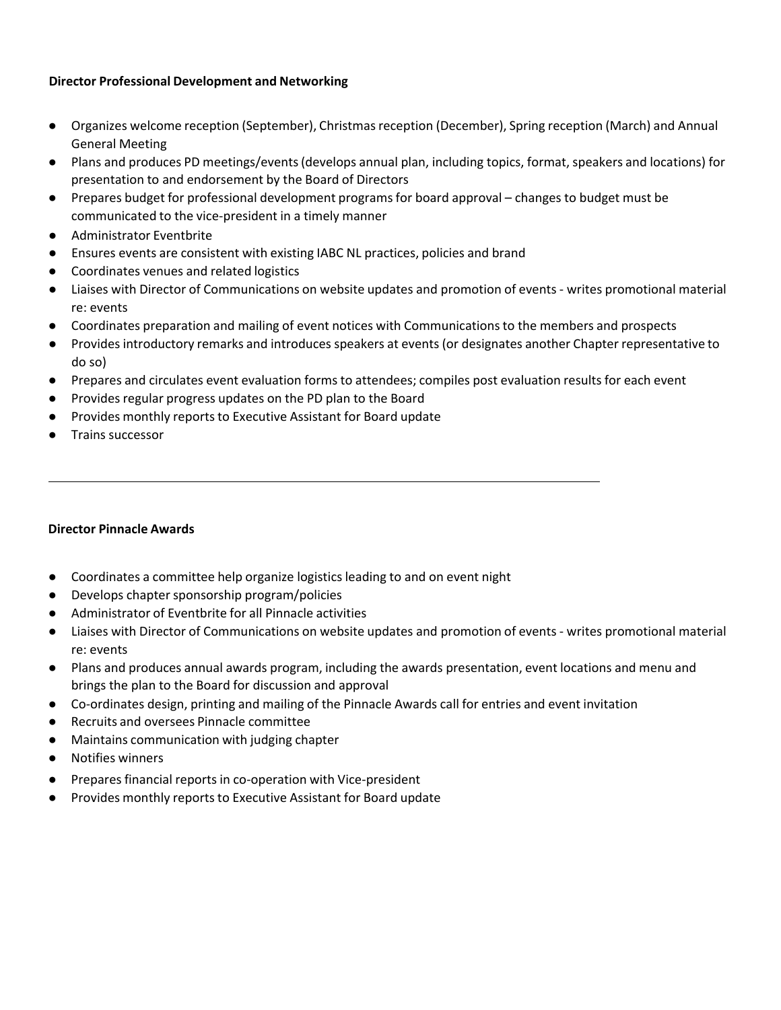#### **Director Professional Development and Networking**

- Organizes welcome reception (September), Christmas reception (December), Spring reception (March) and Annual General Meeting
- Plans and produces PD meetings/events(develops annual plan, including topics, format, speakers and locations) for presentation to and endorsement by the Board of Directors
- Prepares budget for professional development programs for board approval changes to budget must be communicated to the vice‐president in a timely manner
- Administrator Eventbrite
- Ensures events are consistent with existing IABC NL practices, policies and brand
- Coordinates venues and related logistics
- Liaises with Director of Communications on website updates and promotion of events ‐ writes promotional material re: events
- Coordinates preparation and mailing of event notices with Communicationsto the members and prospects
- Providesintroductory remarks and introduces speakers at events (or designates another Chapter representative to do so)
- Prepares and circulates event evaluation forms to attendees; compiles post evaluation results for each event
- Providesregular progress updates on the PD plan to the Board
- Provides monthly reports to Executive Assistant for Board update
- Trains successor

#### **Director Pinnacle Awards**

- Coordinates a committee help organize logistics leading to and on event night
- Develops chapter sponsorship program/policies
- Administrator of Eventbrite for all Pinnacle activities
- Liaises with Director of Communications on website updates and promotion of events ‐ writes promotional material re: events
- Plans and produces annual awards program, including the awards presentation, event locations and menu and brings the plan to the Board for discussion and approval
- Co-ordinates design, printing and mailing of the Pinnacle Awards call for entries and event invitation
- Recruits and oversees Pinnacle committee
- Maintains communication with judging chapter
- Notifies winners
- Prepares financial reports in co-operation with Vice-president
- Provides monthly reports to Executive Assistant for Board update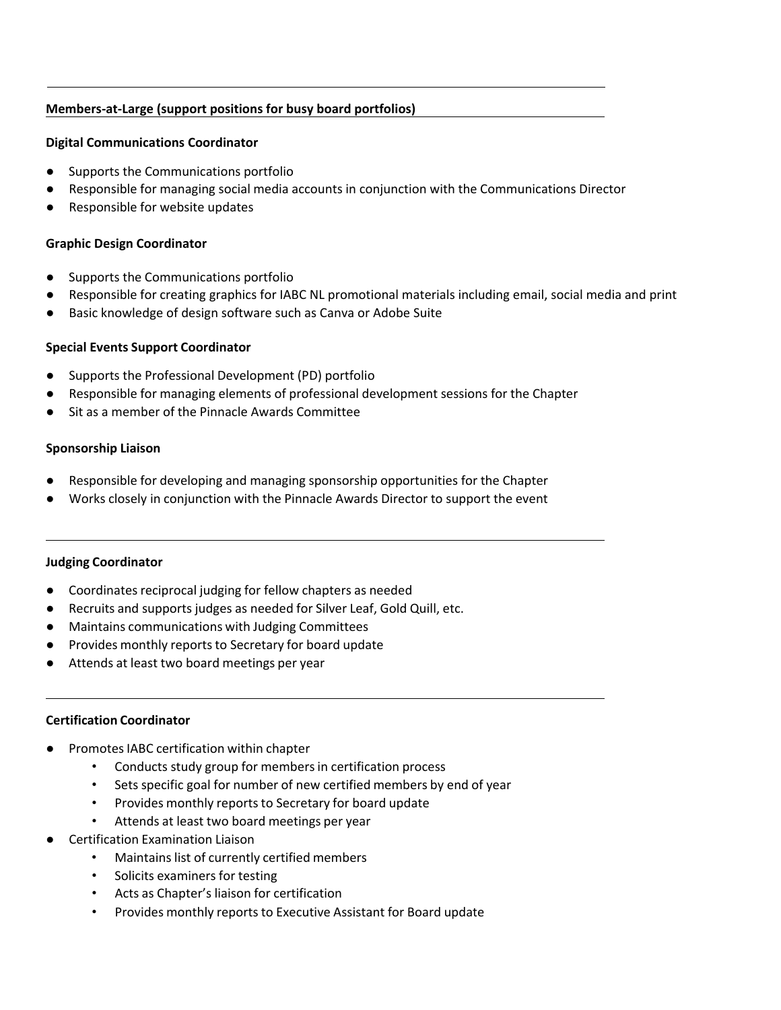#### **Members‐at‐Large (support positions for busy board portfolios)**

#### **Digital Communications Coordinator**

- Supports the Communications portfolio
- Responsible for managing social media accounts in conjunction with the Communications Director
- Responsible for website updates

#### **Graphic Design Coordinator**

- Supports the Communications portfolio
- Responsible for creating graphics for IABC NL promotional materials including email, social media and print
- Basic knowledge of design software such as Canva or Adobe Suite

#### **Special Events Support Coordinator**

- Supports the Professional Development (PD) portfolio
- Responsible for managing elements of professional development sessions for the Chapter
- Sit as a member of the Pinnacle Awards Committee

#### **Sponsorship Liaison**

- Responsible for developing and managing sponsorship opportunities for the Chapter
- Works closely in conjunction with the Pinnacle Awards Director to support the event

#### **Judging Coordinator**

- Coordinates reciprocal judging for fellow chapters as needed
- Recruits and supports judges as needed for Silver Leaf, Gold Quill, etc.
- Maintains communications with Judging Committees
- Provides monthly reports to Secretary for board update
- Attends at least two board meetings per year

#### **Certification Coordinator**

- Promotes IABC certification within chapter
	- Conducts study group for membersin certification process
	- Sets specific goal for number of new certified members by end of year
	- Provides monthly reports to Secretary for board update
	- Attends at least two board meetings per year
- **Certification Examination Liaison** 
	- Maintains list of currently certified members
	- Solicits examiners for testing
	- Acts as Chapter's liaison for certification
	- Provides monthly reports to Executive Assistant for Board update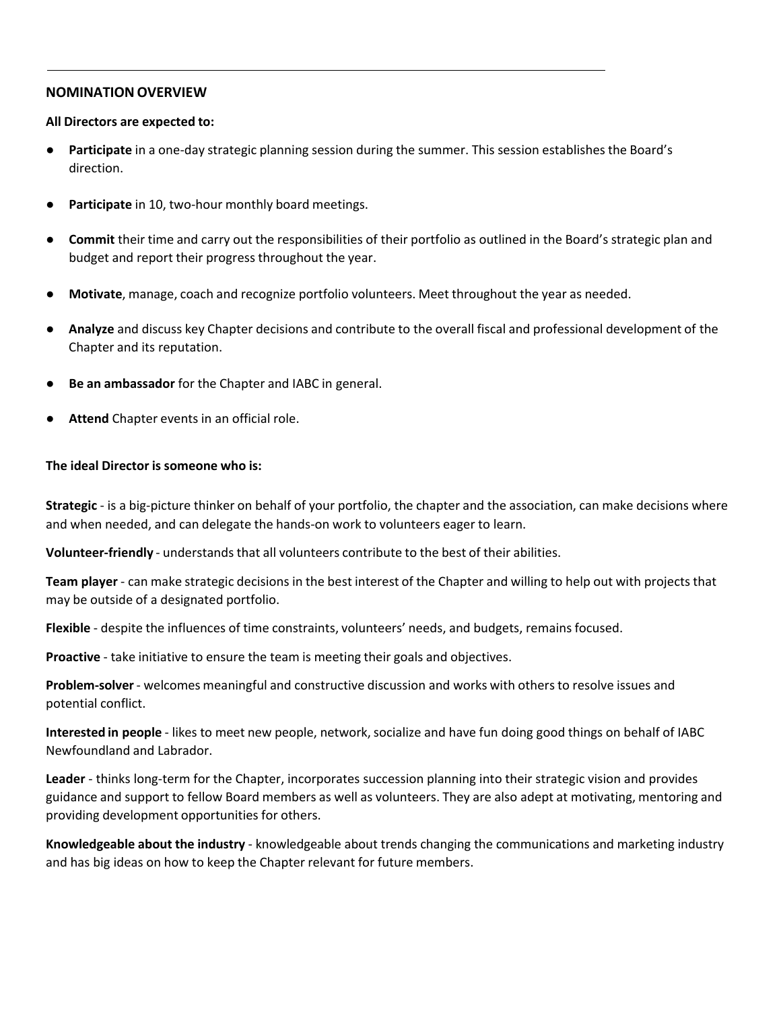#### **NOMINATION OVERVIEW**

#### **All Directors are expected to:**

- **Participate** in a one-day strategic planning session during the summer. This session establishes the Board's direction. The contraction of the contraction of the contraction of the contraction of the contraction of the contraction of the contraction of the contraction of the contraction of the contraction of the contraction of th
- **Participate** in 10, two-hour monthly board meetings.
- **Commit** their time and carry out the responsibilities of their portfolio as outlined in the Board's strategic plan and budget and report their progress throughout the year.
- **Motivate**, manage, coach and recognize portfolio volunteers. Meet throughout the year as needed.
- **Analyze** and discuss key Chapter decisions and contribute to the overall fiscal and professional development of the Chapter and its reputation.
- **Be an ambassador** for the Chapter and IABC in general.
- Attend Chapter events in an official role.

#### **The ideal Director is someone who is:**

**Strategic** ‐ is a big‐picture thinker on behalf of your portfolio, the chapter and the association, can make decisions where and when needed, and can delegate the hands-on work to volunteers eager to learn.

**Volunteer‐friendly** ‐ understands that all volunteers contribute to the best of their abilities.

**Team player** ‐ can make strategic decisions in the best interest of the Chapter and willing to help out with projects that may be outside of a designated portfolio.

**Flexible** ‐ despite the influences of time constraints, volunteers' needs, and budgets, remains focused.

**Proactive** - take initiative to ensure the team is meeting their goals and objectives.

**Problem‐solver**‐ welcomes meaningful and constructive discussion and works with othersto resolve issues and potential conflict.

**Interested in people** - likes to meet new people, network, socialize and have fun doing good things on behalf of IABC Newfoundland and Labrador.

**Leader** ‐ thinks long‐term for the Chapter, incorporates succession planning into their strategic vision and provides guidance and support to fellow Board members as well as volunteers. They are also adept at motivating, mentoring and providing development opportunities for others.

**Knowledgeable about the industry** ‐ knowledgeable about trends changing the communications and marketing industry and has big ideas on how to keep the Chapter relevant for future members.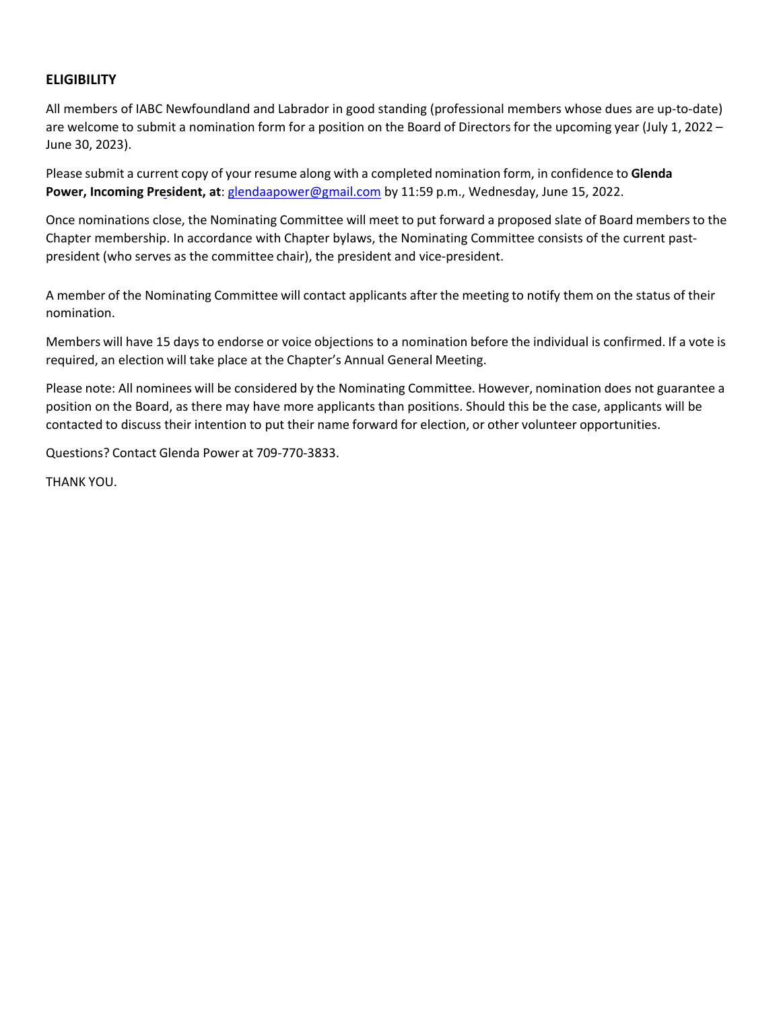## **ELIGIBILITY**

All members of IABC Newfoundland and Labrador in good standing (professional members whose dues are up‐to‐date) are welcome to submit a nomination form for a position on the Board of Directors for the upcoming year (July 1, 2022 – June 30, 2023).

Please submit a current copy of your resume along with a completed nomination form, in confidence to **Glenda Power, Incoming President, at**: glendaapower@gmail.com by 11:59 p.m., Wednesday, June 15, 2022.

Once nominations close, the Nominating Committee will meet to put forward a proposed slate of Board members to the Chapter membership. In accordance with Chapter bylaws, the Nominating Committee consists of the current past‐ president (who serves as the committee chair), the president and vice-president.

A member of the Nominating Committee will contact applicants after the meeting to notify them on the status of their nomination.

Members will have 15 days to endorse or voice objections to a nomination before the individual is confirmed. If a vote is required, an election will take place at the Chapter's Annual General Meeting.

Please note: All nominees will be considered by the Nominating Committee. However, nomination does not guarantee a position on the Board, as there may have more applicants than positions. Should this be the case, applicants will be contacted to discuss their intention to put their name forward for election, or other volunteer opportunities.

Questions? Contact Glenda Power at 709‐770‐3833.

THANK YOU.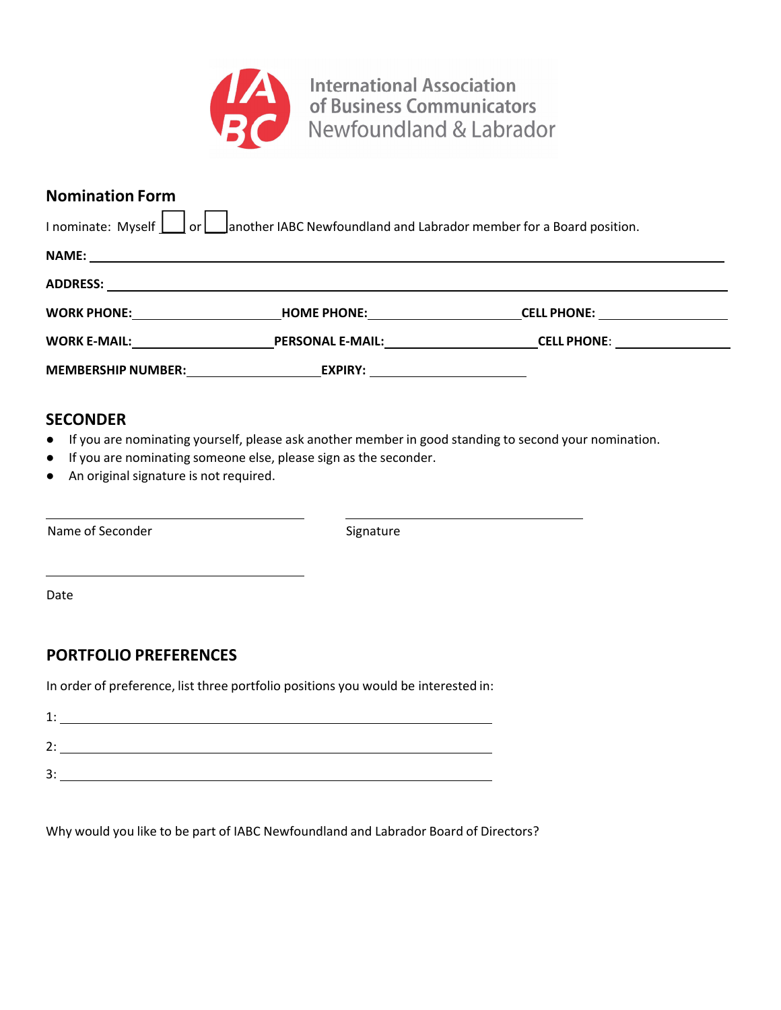

International Association<br>
of Business Communicators<br>
Newfoundland & Labrador

## **Nomination Form**

| I nominate: Myself     or     another IABC Newfoundland and Labrador member for a Board position.              |                          |                                     |  |  |  |  |  |
|----------------------------------------------------------------------------------------------------------------|--------------------------|-------------------------------------|--|--|--|--|--|
|                                                                                                                |                          |                                     |  |  |  |  |  |
|                                                                                                                |                          |                                     |  |  |  |  |  |
| WORK PHONE: WORK AND THE STATE OF THE STATE OF THE STATE OF THE STATE OF THE STATE OF THE STATE OF THE STATE O | <b>HOME PHONE:</b> NOTE: | CELL PHONE: <u>________________</u> |  |  |  |  |  |
| WORK E-MAIL: WORK E-MAIL:                                                                                      | <b>PERSONAL E-MAIL:</b>  | CELL PHONE: <u>________________</u> |  |  |  |  |  |
| MEMBERSHIP NUMBER: MEMBERS                                                                                     | <b>EXPIRY:</b>           |                                     |  |  |  |  |  |

## **SECONDER**

- If you are nominating yourself, please ask another member in good standing to second your nomination.
- If you are nominating someone else, please sign as the seconder.
- An original signature is not required.

Name of Seconder Signature Signature

Date

# **PORTFOLIO PREFERENCES**

In order of preference, list three portfolio positions you would be interested in:

| - |  |
|---|--|

Why would you like to be part of IABC Newfoundland and Labrador Board of Directors?